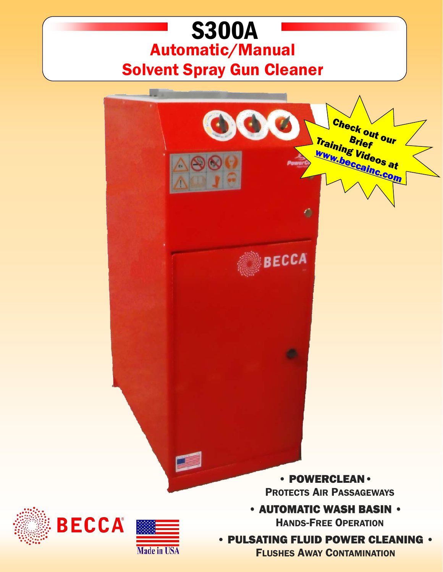## S300A Automatic/Manual Solvent Spray Gun Cleaner



**Made in USA** 

• PULSATING FLUID POWER CLEANING •

FLUSHES AWAY CONTAMINATION